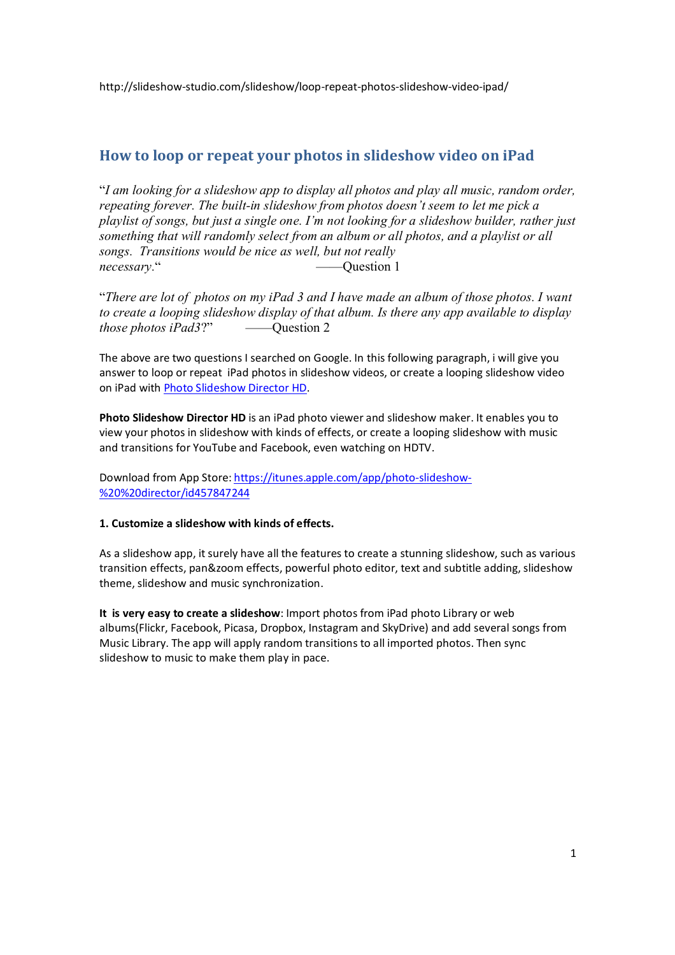http://slideshow-studio.com/slideshow/loop-repeat-photos-slideshow-video-ipad/

## **How to loop or repeat your photos in slideshow video on iPad**

"*I am looking for a slideshow app to display all photos and play all music, random order, repeating forever. The built-in slideshow from photos doesn't seem to let me pick a playlist of songs, but just a single one. I'm not looking for a slideshow builder, rather just something that will randomly select from an album or all photos, and a playlist or all songs. Transitions would be nice as well, but not really necessary.*" ——Question 1

"*There are lot of photos on my iPad 3 and I have made an album of those photos. I want to create a looping slideshow display of that album. Is there any app available to display those photos iPad3*?" ——Question 2

The above are two questions I searched on Google. In this following paragraph, i will give you answer to loop or repeat iPad photos in slideshow videos, or create a looping slideshow video on iPad with Photo Slideshow Director HD.

**Photo Slideshow Director HD** is an iPad photo viewer and slideshow maker. It enables you to view your photos in slideshow with kinds of effects, or create a looping slideshow with music and transitions for YouTube and Facebook, even watching on HDTV.

Download from App Store: https://itunes.apple.com/app/photo-slideshow- %20%20director/id457847244

## **1. Customize a slideshow with kinds of effects.**

As a slideshow app, it surely have all the features to create a stunning slideshow, such as various transition effects, pan&zoom effects, powerful photo editor, text and subtitle adding, slideshow theme, slideshow and music synchronization.

**It is very easy to create a slideshow**: Import photos from iPad photo Library or web albums(Flickr, Facebook, Picasa, Dropbox, Instagram and SkyDrive) and add several songs from Music Library. The app will apply random transitions to all imported photos. Then sync slideshow to music to make them play in pace.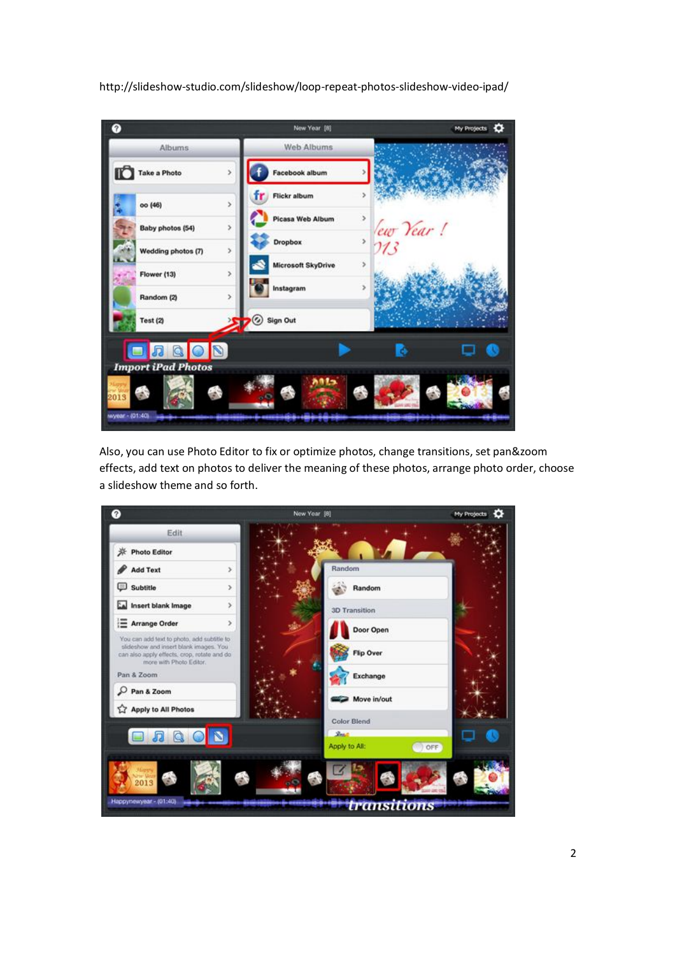http://slideshow-studio.com/slideshow/loop-repeat-photos-slideshow-video-ipad/



Also, you can use Photo Editor to fix or optimize photos, change transitions, set pan&zoom effects, add text on photos to deliver the meaning of these photos, arrange photo order, choose a slideshow theme and so forth.